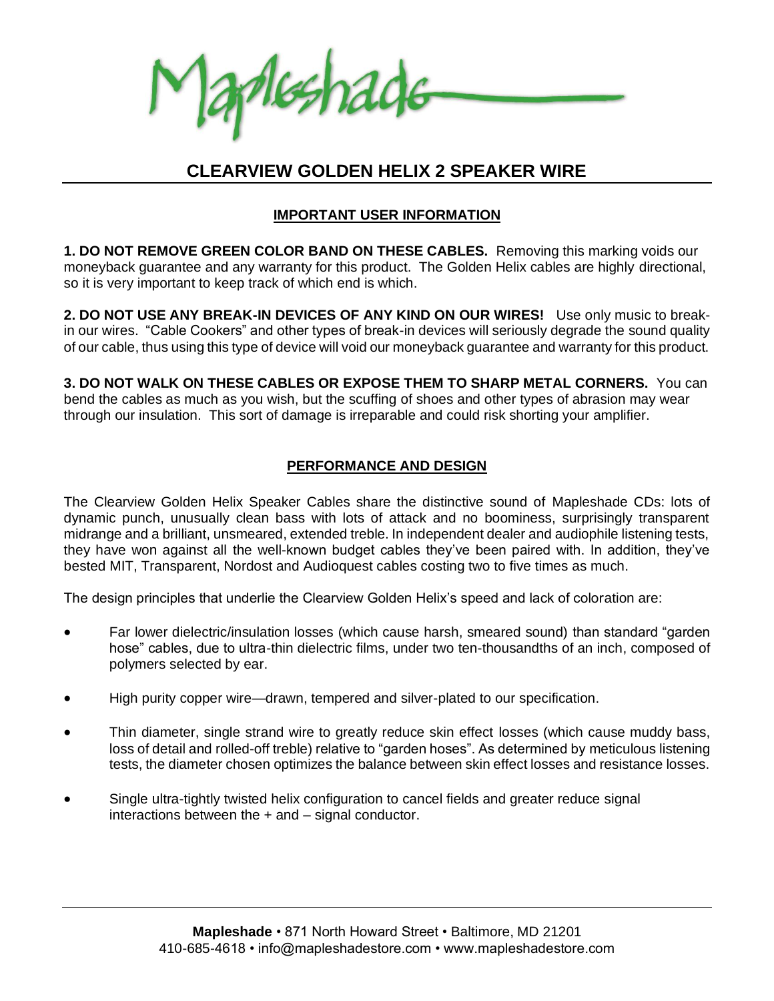Aleshade

# **CLEARVIEW GOLDEN HELIX 2 SPEAKER WIRE**

# **IMPORTANT USER INFORMATION**

**1. DO NOT REMOVE GREEN COLOR BAND ON THESE CABLES.** Removing this marking voids our moneyback guarantee and any warranty for this product. The Golden Helix cables are highly directional, so it is very important to keep track of which end is which.

**2. DO NOT USE ANY BREAK-IN DEVICES OF ANY KIND ON OUR WIRES!** Use only music to breakin our wires."Cable Cookers" and other types of break-in devices will seriously degrade the sound quality of our cable, thus using this type of device will void our moneyback guarantee and warranty for this product.

**3. DO NOT WALK ON THESE CABLES OR EXPOSE THEM TO SHARP METAL CORNERS.** You can bend the cables as much as you wish, but the scuffing of shoes and other types of abrasion may wear through our insulation. This sort of damage is irreparable and could risk shorting your amplifier.

### **PERFORMANCE AND DESIGN**

The Clearview Golden Helix Speaker Cables share the distinctive sound of Mapleshade CDs: lots of dynamic punch, unusually clean bass with lots of attack and no boominess, surprisingly transparent midrange and a brilliant, unsmeared, extended treble. In independent dealer and audiophile listening tests, they have won against all the well-known budget cables they've been paired with. In addition, they've bested MIT, Transparent, Nordost and Audioquest cables costing two to five times as much.

The design principles that underlie the Clearview Golden Helix's speed and lack of coloration are:

- Far lower dielectric/insulation losses (which cause harsh, smeared sound) than standard "garden hose" cables, due to ultra-thin dielectric films, under two ten-thousandths of an inch, composed of polymers selected by ear.
- High purity copper wire—drawn, tempered and silver-plated to our specification.
- Thin diameter, single strand wire to greatly reduce skin effect losses (which cause muddy bass, loss of detail and rolled-off treble) relative to "garden hoses". As determined by meticulous listening tests, the diameter chosen optimizes the balance between skin effect losses and resistance losses.
- Single ultra-tightly twisted helix configuration to cancel fields and greater reduce signal interactions between the + and – signal conductor.